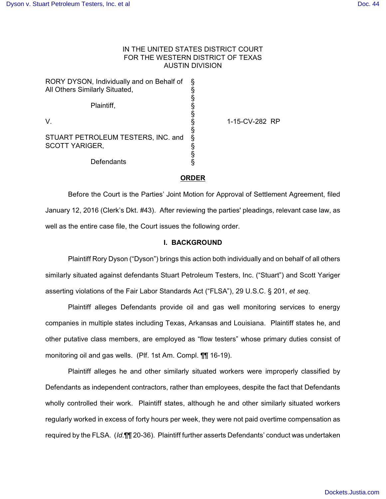# IN THE UNITED STATES DISTRICT COURT FOR THE WESTERN DISTRICT OF TEXAS AUSTIN DIVISION

| RORY DYSON, Individually and on Behalf of<br>All Others Similarly Situated, | ş<br>§      |
|-----------------------------------------------------------------------------|-------------|
| Plaintiff,                                                                  | §<br>§      |
| V.                                                                          | §<br>§<br>§ |
| STUART PETROLEUM TESTERS, INC. and<br>SCOTT YARIGER,                        | ş<br>§      |
| Defendants                                                                  | §           |

1-15-CV-282 RP

# **ORDER**

Before the Court is the Parties' Joint Motion for Approval of Settlement Agreement, filed January 12, 2016 (Clerk's Dkt. #43). After reviewing the parties' pleadings, relevant case law, as well as the entire case file, the Court issues the following order.

# **I. BACKGROUND**

Plaintiff Rory Dyson ("Dyson") brings this action both individually and on behalf of all others similarly situated against defendants Stuart Petroleum Testers, Inc. ("Stuart") and Scott Yariger asserting violations of the Fair Labor Standards Act ("FLSA"), 29 U.S.C. § 201, *et seq*.

Plaintiff alleges Defendants provide oil and gas well monitoring services to energy companies in multiple states including Texas, Arkansas and Louisiana. Plaintiff states he, and other putative class members, are employed as "flow testers" whose primary duties consist of monitoring oil and gas wells. (Plf. 1st Am. Compl. ¶¶ 16-19).

Plaintiff alleges he and other similarly situated workers were improperly classified by Defendants as independent contractors, rather than employees, despite the fact that Defendants wholly controlled their work. Plaintiff states, although he and other similarly situated workers regularly worked in excess of forty hours per week, they were not paid overtime compensation as required by the FLSA. (*Id*.¶¶ 20-36). Plaintiff further asserts Defendants' conduct was undertaken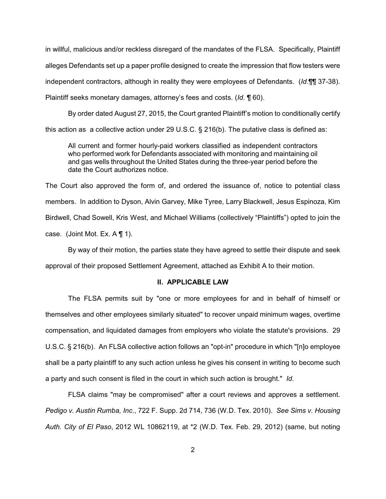in willful, malicious and/or reckless disregard of the mandates of the FLSA. Specifically, Plaintiff alleges Defendants set up a paper profile designed to create the impression that flow testers were independent contractors, although in reality they were employees of Defendants. (*Id*.¶¶ 37-38). Plaintiff seeks monetary damages, attorney's fees and costs. (*Id*. ¶ 60).

By order dated August 27, 2015, the Court granted Plaintiff's motion to conditionally certify this action as a collective action under 29 U.S.C. § 216(b). The putative class is defined as:

All current and former hourly-paid workers classified as independent contractors who performed work for Defendants associated with monitoring and maintaining oil and gas wells throughout the United States during the three-year period before the date the Court authorizes notice.

The Court also approved the form of, and ordered the issuance of, notice to potential class members. In addition to Dyson, Alvin Garvey, Mike Tyree, Larry Blackwell, Jesus Espinoza, Kim Birdwell, Chad Sowell, Kris West, and Michael Williams (collectively "Plaintiffs") opted to join the case. (Joint Mot. Ex. A ¶ 1).

By way of their motion, the parties state they have agreed to settle their dispute and seek approval of their proposed Settlement Agreement, attached as Exhibit A to their motion.

## **II. APPLICABLE LAW**

The FLSA permits suit by "one or more employees for and in behalf of himself or themselves and other employees similarly situated" to recover unpaid minimum wages, overtime compensation, and liquidated damages from employers who violate the statute's provisions. 29 U.S.C. § 216(b). An FLSA collective action follows an "opt-in" procedure in which "[n]o employee shall be a party plaintiff to any such action unless he gives his consent in writing to become such a party and such consent is filed in the court in which such action is brought." *Id.*

FLSA claims "may be compromised" after a court reviews and approves a settlement. *Pedigo v. Austin Rumba, Inc*., 722 F. Supp. 2d 714, 736 (W.D. Tex. 2010). *See Sims v. Housing Auth. City of El Paso*, 2012 WL 10862119, at \*2 (W.D. Tex. Feb. 29, 2012) (same, but noting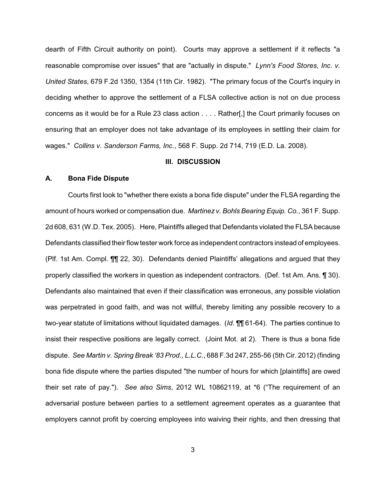dearth of Fifth Circuit authority on point). Courts may approve a settlement if it reflects "a reasonable compromise over issues" that are "actually in dispute." *Lynn's Food Stores, Inc. v. United States*, 679 F.2d 1350, 1354 (11th Cir. 1982). "The primary focus of the Court's inquiry in deciding whether to approve the settlement of a FLSA collective action is not on due process concerns as it would be for a Rule 23 class action . . . . Rather[,] the Court primarily focuses on ensuring that an employer does not take advantage of its employees in settling their claim for wages." *Collins v. Sanderson Farms, Inc.*, 568 F. Supp. 2d 714, 719 (E.D. La. 2008).

#### **III. DISCUSSION**

# **A. Bona Fide Dispute**

Courts first look to "whether there exists a bona fide dispute" under the FLSA regarding the amount of hours worked or compensation due. *Martinez v. Bohls Bearing Equip. Co.*, 361 F. Supp. 2d 608, 631 (W.D. Tex. 2005). Here, Plaintiffs alleged that Defendants violated the FLSA because Defendants classified their flow tester work force as independent contractors instead of employees. (Plf. 1st Am. Compl. ¶¶ 22, 30). Defendants denied Plaintiffs' allegations and argued that they properly classified the workers in question as independent contractors. (Def. 1st Am. Ans. ¶ 30). Defendants also maintained that even if their classification was erroneous, any possible violation was perpetrated in good faith, and was not willful, thereby limiting any possible recovery to a two-year statute of limitations without liquidated damages. (*Id*. ¶¶ 61-64). The parties continue to insist their respective positions are legally correct. (Joint Mot. at 2). There is thus a bona fide dispute. *See Martin v. Spring Break '83 Prod., L.L.C.*, 688 F.3d 247, 255-56 (5th Cir. 2012) (finding bona fide dispute where the parties disputed "the number of hours for which [plaintiffs] are owed their set rate of pay."). *See also Sims*, 2012 WL 10862119, at \*6 ("The requirement of an adversarial posture between parties to a settlement agreement operates as a guarantee that employers cannot profit by coercing employees into waiving their rights, and then dressing that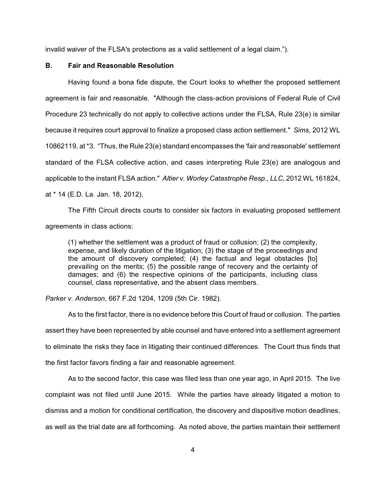invalid waiver of the FLSA's protections as a valid settlement of a legal claim.").

# **B. Fair and Reasonable Resolution**

Having found a bona fide dispute, the Court looks to whether the proposed settlement agreement is fair and reasonable. "Although the class-action provisions of Federal Rule of Civil Procedure 23 technically do not apply to collective actions under the FLSA, Rule 23(e) is similar because it requires court approval to finalize a proposed class action settlement." *Sims*, 2012 WL 10862119, at \*3. "Thus, the Rule 23(e) standard encompasses the 'fair and reasonable' settlement standard of the FLSA collective action, and cases interpreting Rule 23(e) are analogous and applicable to the instant FLSA action." *Altier v. Worley Catastrophe Resp., LLC*, 2012 WL 161824, at \* 14 (E.D. La. Jan. 18, 2012).

The Fifth Circuit directs courts to consider six factors in evaluating proposed settlement agreements in class actions:

(1) whether the settlement was a product of fraud or collusion; (2) the complexity, expense, and likely duration of the litigation; (3) the stage of the proceedings and the amount of discovery completed; (4) the factual and legal obstacles [to] prevailing on the merits; (5) the possible range of recovery and the certainty of damages; and (6) the respective opinions of the participants, including class counsel, class representative, and the absent class members.

*Parker v. Anderson*, 667 F.2d 1204, 1209 (5th Cir. 1982).

As to the first factor, there is no evidence before this Court of fraud or collusion. The parties assert they have been represented by able counsel and have entered into a settlement agreement to eliminate the risks they face in litigating their continued differences. The Court thus finds that the first factor favors finding a fair and reasonable agreement.

As to the second factor, this case was filed less than one year ago, in April 2015. The live complaint was not filed until June 2015. While the parties have already litigated a motion to dismiss and a motion for conditional certification, the discovery and dispositive motion deadlines, as well as the trial date are all forthcoming. As noted above, the parties maintain their settlement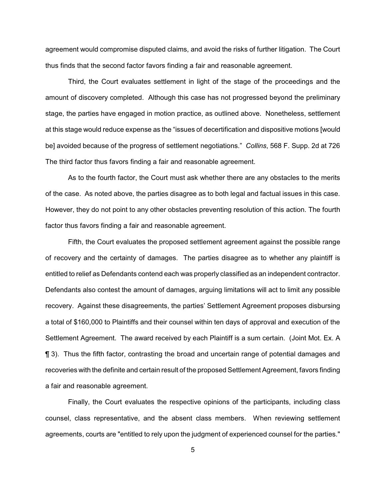agreement would compromise disputed claims, and avoid the risks of further litigation. The Court thus finds that the second factor favors finding a fair and reasonable agreement.

Third, the Court evaluates settlement in light of the stage of the proceedings and the amount of discovery completed. Although this case has not progressed beyond the preliminary stage, the parties have engaged in motion practice, as outlined above. Nonetheless, settlement at this stage would reduce expense as the "issues of decertification and dispositive motions [would be] avoided because of the progress of settlement negotiations." *Collins*, 568 F. Supp. 2d at 726 The third factor thus favors finding a fair and reasonable agreement.

As to the fourth factor, the Court must ask whether there are any obstacles to the merits of the case. As noted above, the parties disagree as to both legal and factual issues in this case. However, they do not point to any other obstacles preventing resolution of this action. The fourth factor thus favors finding a fair and reasonable agreement.

Fifth, the Court evaluates the proposed settlement agreement against the possible range of recovery and the certainty of damages. The parties disagree as to whether any plaintiff is entitled to relief as Defendants contend each was properly classified as an independent contractor. Defendants also contest the amount of damages, arguing limitations will act to limit any possible recovery. Against these disagreements, the parties' Settlement Agreement proposes disbursing a total of \$160,000 to Plaintiffs and their counsel within ten days of approval and execution of the Settlement Agreement. The award received by each Plaintiff is a sum certain. (Joint Mot. Ex. A ¶ 3). Thus the fifth factor, contrasting the broad and uncertain range of potential damages and recoveries with the definite and certain result of the proposed Settlement Agreement, favors finding a fair and reasonable agreement.

Finally, the Court evaluates the respective opinions of the participants, including class counsel, class representative, and the absent class members. When reviewing settlement agreements, courts are "entitled to rely upon the judgment of experienced counsel for the parties."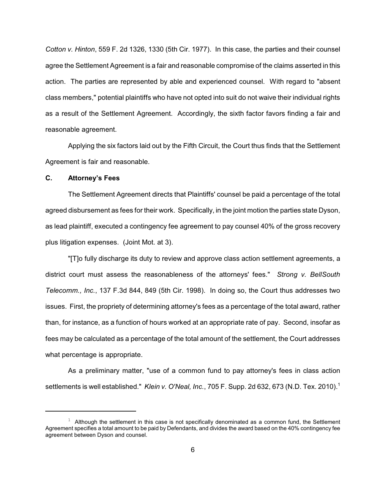*Cotton v. Hinton*, 559 F. 2d 1326, 1330 (5th Cir. 1977). In this case, the parties and their counsel agree the Settlement Agreement is a fair and reasonable compromise of the claims asserted in this action. The parties are represented by able and experienced counsel. With regard to "absent class members," potential plaintiffs who have not opted into suit do not waive their individual rights as a result of the Settlement Agreement. Accordingly, the sixth factor favors finding a fair and reasonable agreement.

Applying the six factors laid out by the Fifth Circuit, the Court thus finds that the Settlement Agreement is fair and reasonable.

## **C. Attorney's Fees**

The Settlement Agreement directs that Plaintiffs' counsel be paid a percentage of the total agreed disbursement as fees for their work. Specifically, in the joint motion the parties state Dyson, as lead plaintiff, executed a contingency fee agreement to pay counsel 40% of the gross recovery plus litigation expenses. (Joint Mot. at 3).

"[T]o fully discharge its duty to review and approve class action settlement agreements, a district court must assess the reasonableness of the attorneys' fees." *Strong v. BellSouth Telecomm., Inc.*, 137 F.3d 844, 849 (5th Cir. 1998). In doing so, the Court thus addresses two issues. First, the propriety of determining attorney's fees as a percentage of the total award, rather than, for instance, as a function of hours worked at an appropriate rate of pay. Second, insofar as fees may be calculated as a percentage of the total amount of the settlement, the Court addresses what percentage is appropriate.

As a preliminary matter, "use of a common fund to pay attorney's fees in class action settlements is well established." *Klein v. O'Neal, Inc.*, 705 F. Supp. 2d 632, 673 (N.D. Tex. 2010). 1

 $1$  Although the settlement in this case is not specifically denominated as a common fund, the Settlement Agreement specifies a total amount to be paid by Defendants, and divides the award based on the 40% contingency fee agreement between Dyson and counsel.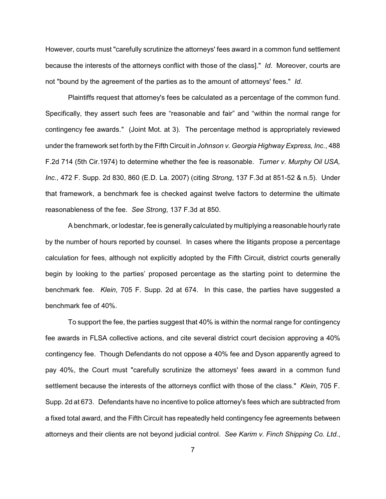However, courts must "carefully scrutinize the attorneys' fees award in a common fund settlement because the interests of the attorneys conflict with those of the class]." *Id*. Moreover, courts are not "bound by the agreement of the parties as to the amount of attorneys' fees." *Id*.

Plaintiffs request that attorney's fees be calculated as a percentage of the common fund. Specifically, they assert such fees are "reasonable and fair" and "within the normal range for contingency fee awards." (Joint Mot. at 3). The percentage method is appropriately reviewed under the framework set forth by the Fifth Circuit in *Johnson v. Georgia Highway Express, Inc.*, 488 F.2d 714 (5th Cir.1974) to determine whether the fee is reasonable. *Turner v. Murphy Oil USA, Inc.*, 472 F. Supp. 2d 830, 860 (E.D. La. 2007) (citing *Strong*, 137 F.3d at 851-52 & n.5). Under that framework, a benchmark fee is checked against twelve factors to determine the ultimate reasonableness of the fee. *See Strong*, 137 F.3d at 850.

A benchmark, or lodestar, fee is generally calculated by multiplying a reasonable hourly rate by the number of hours reported by counsel. In cases where the litigants propose a percentage calculation for fees, although not explicitly adopted by the Fifth Circuit, district courts generally begin by looking to the parties' proposed percentage as the starting point to determine the benchmark fee. *Klein*, 705 F. Supp. 2d at 674. In this case, the parties have suggested a benchmark fee of 40%.

To support the fee, the parties suggest that 40% is within the normal range for contingency fee awards in FLSA collective actions, and cite several district court decision approving a 40% contingency fee. Though Defendants do not oppose a 40% fee and Dyson apparently agreed to pay 40%, the Court must "carefully scrutinize the attorneys' fees award in a common fund settlement because the interests of the attorneys conflict with those of the class." *Klein*, 705 F. Supp. 2d at 673. Defendants have no incentive to police attorney's fees which are subtracted from a fixed total award, and the Fifth Circuit has repeatedly held contingency fee agreements between attorneys and their clients are not beyond judicial control. *See Karim v. Finch Shipping Co. Ltd.*,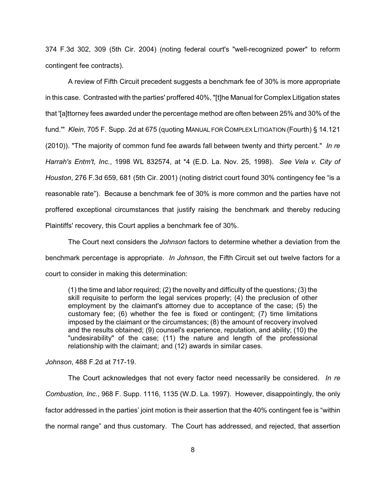374 F.3d 302, 309 (5th Cir. 2004) (noting federal court's "well-recognized power" to reform contingent fee contracts).

A review of Fifth Circuit precedent suggests a benchmark fee of 30% is more appropriate in this case. Contrasted with the parties' proffered 40%, "[t]he Manual for Complex Litigation states that '[a]ttorney fees awarded under the percentage method are often between 25% and 30% of the fund.'" *Klein*, 705 F. Supp. 2d at 675 (quoting MANUAL FOR COMPLEX LITIGATION (Fourth) § 14.121 (2010)). "The majority of common fund fee awards fall between twenty and thirty percent." *In re Harrah's Entm't, Inc.*, 1998 WL 832574, at \*4 (E.D. La. Nov. 25, 1998). *See Vela v. City of Houston*, 276 F.3d 659, 681 (5th Cir. 2001) (noting district court found 30% contingency fee "is a reasonable rate"). Because a benchmark fee of 30% is more common and the parties have not proffered exceptional circumstances that justify raising the benchmark and thereby reducing Plaintiffs' recovery, this Court applies a benchmark fee of 30%.

The Court next considers the *Johnson* factors to determine whether a deviation from the benchmark percentage is appropriate. *In Johnson*, the Fifth Circuit set out twelve factors for a court to consider in making this determination:

(1) the time and labor required; (2) the novelty and difficulty of the questions; (3) the skill requisite to perform the legal services properly; (4) the preclusion of other employment by the claimant's attorney due to acceptance of the case; (5) the customary fee; (6) whether the fee is fixed or contingent; (7) time limitations imposed by the claimant or the circumstances; (8) the amount of recovery involved and the results obtained; (9) counsel's experience, reputation, and ability; (10) the "undesirability" of the case; (11) the nature and length of the professional relationship with the claimant; and (12) awards in similar cases.

*Johnson*, 488 F.2d at 717-19.

The Court acknowledges that not every factor need necessarily be considered. *In re Combustion, Inc.*, 968 F. Supp. 1116, 1135 (W.D. La. 1997). However, disappointingly, the only factor addressed in the parties' joint motion is their assertion that the 40% contingent fee is "within the normal range" and thus customary. The Court has addressed, and rejected, that assertion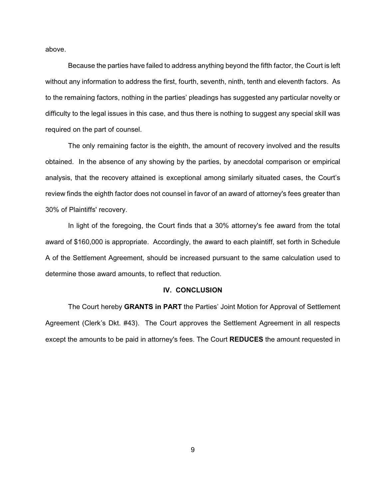above.

Because the parties have failed to address anything beyond the fifth factor, the Court is left without any information to address the first, fourth, seventh, ninth, tenth and eleventh factors. As to the remaining factors, nothing in the parties' pleadings has suggested any particular novelty or difficulty to the legal issues in this case, and thus there is nothing to suggest any special skill was required on the part of counsel.

The only remaining factor is the eighth, the amount of recovery involved and the results obtained. In the absence of any showing by the parties, by anecdotal comparison or empirical analysis, that the recovery attained is exceptional among similarly situated cases, the Court's review finds the eighth factor does not counsel in favor of an award of attorney's fees greater than 30% of Plaintiffs' recovery.

In light of the foregoing, the Court finds that a 30% attorney's fee award from the total award of \$160,000 is appropriate. Accordingly, the award to each plaintiff, set forth in Schedule A of the Settlement Agreement, should be increased pursuant to the same calculation used to determine those award amounts, to reflect that reduction.

#### **IV. CONCLUSION**

The Court hereby **GRANTS in PART** the Parties' Joint Motion for Approval of Settlement Agreement (Clerk's Dkt. #43). The Court approves the Settlement Agreement in all respects except the amounts to be paid in attorney's fees. The Court **REDUCES** the amount requested in

9